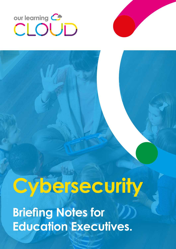# our learning C

# **Cybersecurity**

**Briefing Notes for Education Executives.**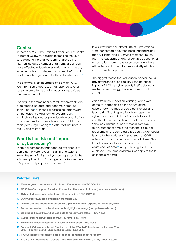#### **Context**

In March of 2021, the National Cyber Security Centre (a part of GCHQ responsible for making the UK a safe place to live and work online) alerted that "[…] an increased number of ransomware attacks have affected education establishments in the UK, including schools, colleges and universities"**<sup>1</sup>** and beefed up their guidance for the education sector**<sup>2</sup>** .

This alert was itself an update of a similar NCSC Alert from September 2020 that reported several ransomware attacks against education providers the previous month**<sup>3</sup>** .

Looking to the remainder of 2021, cyberattacks are predicted to increase and become increasingly sophisticated**<sup>4</sup>** , with the FBI describing ransomware as the fastest growing form of cyberattack**<sup>5</sup>** . In this changing landscape, education organisations of all sizes need to take action to avoid joining a rapidly growing list of high<sup>6</sup> profile<sup>7</sup> victims<sup>8</sup> both in the UK and more widely**<sup>9</sup>** .

## **What is the risk and impact of cybersecurity?**

There is a perception that because cybersecurity contains the word 'cyber' it's an IT and systems issue. The sort of thing that you perhaps add to the job description of an IT manager to make sure there is "cybersecurity in place at all times".

In a survey last year, almost 80% of IT professionals were concerned about the perils that businesses face<sup>10</sup>. If something is worrying them that much, then the leadership of any responsible educational organisation should have cybersecurity up there with safeguarding as a key responsibility which is driven from the top down.

The biggest reason that education leaders should pay attention to cybersecurity is the potential impact of it. While cybersecurity itself is obviously related to technology, the effects very much aren't.

Aside from the impact on learning, which we'll come to, depending on the nature of the cyberattack the impact could be financial and lead to significant reputational damage. If a cyberattack results in loss of control of your data and that loss of control has the potential to cause "physical, material or non-material damage" to any student or employee then there is also a requirement to report a data breach**11**, which could lead to further collateral impact such as GDPR, safeguarding and other compliance failures. That loss of control includes accidental or unlawful destruction of data**12**, not just having it stolen or disclosed. The same collateral risks apply to the loss of financial records.

#### **Related Links**

- **1. [More targeted ransomware attacks on UK education NCSC.GOV.UK](https://www.ncsc.gov.uk/news/alert-targeted-ransomware-attacks-on-uk-education-sector)**
- **2. [NCSC beefs up support for education sector after spate of attacks \(computerweekly.com\)](https://www.computerweekly.com/news/252498286/NCSC-beefs-up-support-for-education-sector-after-spate-of-attacks)**
- **3. [Cyber alert issued after attacks on UK academia NCSC.GOV.UK](https://www.ncsc.gov.uk/news/alert-issued-following-rising-attacks-on-uk-academia)**
- **4. [www.wired.co.uk/article/ransomware-trends-2021](https://www.wired.co.uk/article/ransomware-trends-2021)**
- **5. [www.fbi.gov/file-repository/ransomware-prevention-and-response-for-cisos.pdf/view](https://www.fbi.gov/file-repository/ransomware-prevention-and-response-for-cisos.pdf/view)**
- **6. [Ransomware attack on London schools highlights warnings \(computerweekly.com\)](https://www.computerweekly.com/news/252498607/Ransomware-attack-on-London-schools-highlights-warnings)**
- **7. [Blackbaud Hack: Universities lose data to ransomware attack BBC News](https://www.bbc.co.uk/news/technology-53516413)**
- **8. [Cyber threat to disrupt start of university term BBC News](https://www.bbc.co.uk/news/education-54182398)**
- **9. [Ransomware halts classes for 115,000 Baltimore pupils BBC News](https://www.bbc.co.uk/news/technology-55129564)**
- **10. [Source: ESG Research Report, The Impact of the COVID-19 Pandemic on Remote Work,](https://www.esg-global.com/research/esg-research-report-the-impact-of-the-covid-19-pandemic-on-remote-work-2020-it-spending-and-future-tech-strategies?hsCtaTracking=3d02023d-6fa9-458f-ba54-e59cf290318d%7C7db60849-3dbd-423e-8df7-9d4d1f258a3b)  [2020 IT Spending, and Future Tech Strategies, June 2020](https://www.esg-global.com/research/esg-research-report-the-impact-of-the-covid-19-pandemic-on-remote-work-2020-it-spending-and-future-tech-strategies?hsCtaTracking=3d02023d-6fa9-458f-ba54-e59cf290318d%7C7db60849-3dbd-423e-8df7-9d4d1f258a3b)**
- **11. [IT Governance Blog: school data breaches to report or not to report?](https://www.itgovernance.co.uk/blog/personal-data-breaches-in-schools-to-report-or-not-to-report)**
- **12. [Art. 4 GDPR Definitions | General Data Protection Regulation \(GDPR\) \(gdpr-info.eu\)](https://gdpr-info.eu/art-4-gdpr/)**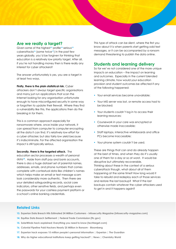#### **Are we really a target?**

Given some of the highest**13** profile**14** serious**<sup>15</sup>** cyberattacks**16** (some twice**17**) in the past few years globally, you'd be forgiven for thinking that education is a relatively low priority target. After all, if you're not handling money then is there really any interest for cyber attackers?

The answer unfortunately is yes, you are a target in at least two ways.

**Firstly, there is the plain statistical risk.** Cyber attackers don't always target specific organisations and many just run applications that scan the Internet looking for any organisation unfortunate enough to have misconfigured security in some way or forgotten to update their firewall. Where they find a vulnerability like this, the applications then do the breaking in for them.

This is a common approach especially for ransomware where, once inside your network, it can spread from computer to computer encrypting all the data it can find. It's relatively low effort for a cyber attacker, but also fairly low yield because it's indiscriminate. For the affected organisation the impact is still typically serious.

**Secondly, there is the targeted attack.** The education sector processes a wealth of personal data**18**. Aside from staff pay and bank accounts, there is also a huge dataset set of parental names, addresses, emails, and phone numbers that comes complete with contextual data like children's names which helps make an email or text message scam look considerably more authentic. Then there are your detailed safeguarding records, social care indicators, other sensitive fields, and perhaps even the passwords for your cashless payment platform or a school's online banking credentials.

This type of attack can be silent, where the first you know about it is when parents start getting odd text messages, or it can be accompanied by a ransom demand threatening to publish the data online.

# **Students and learning delivery**

So far we've not considered one of the more unique impacts on education – the impact on learning and outcomes. Especially in the current blended learning climate, how would your education provision and student outcomes be affected if any of the following happened:

- **•** Your email services became unavailable;
- **•** Your MIS server was lost, or remote access had to be blocked;
- **•** Your students couldn't log in to access their learning resources;
- **•** Coursework in your care was encrypted or otherwise made inaccessible;
- **•** Staff laptops, interactive whiteboards and office PCs become inaccessible;
- **•** Your phone system couldn't be used.

These are things that can and do already happen at the best of times, and when they do it's usually one of them for a day or so at worst. It would be disruptive but ultimately recoverable. Thinking about these in the context of a serious cyberattack though, what about all of them happening at the same time? How long would it take to rebuild and redeploy each of those services and restore the last backup? What if the last backups contain whatever the cyber attackers used to get in and it happens again?

#### **Related Links**

- **13. [Experian Data Breach Hits Estimated 24 Million Customers Infosecurity Magazine \(infosecurity-magazine.com\)](https://www.infosecurity-magazine.com/news/experian-data-breach-24-million/)**
- **14. [Equifax Data Breach Settlement | Federal Trade Commission \(ftc.gov\)](https://www.ftc.gov/enforcement/cases-proceedings/refunds/equifax-data-breach-settlement)**
- **15. [SolarWinds hack explained: Everything you need to know \(techtarget.com\)](https://whatis.techtarget.com/feature/SolarWinds-hack-explained-Everything-you-need-to-know)**
- **16. [Colonial Pipeline Paid Hackers Nearly \\$5 Million in Ransom Bloomberg](https://www.bloomberg.com/news/articles/2021-05-13/colonial-pipeline-paid-hackers-nearly-5-million-in-ransom)**
- **17. [Experian hack exposes 15 million people's personal information | Experian | The Guardian](https://www.theguardian.com/business/2015/oct/01/experian-hack-t-mobile-credit-checks-personal-information)**
- **18. [Why do higher educational institutions keep getting hacked? | News | Chemistry World](https://www.chemistryworld.com/news/why-do-higher-educational-institutions-keep-getting-hacked/4013489.article)**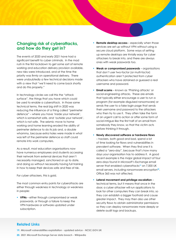### **Changing risk of cyberattacks, and how do they get in?**

The events of 2020 and early 2021 have had a significant benefit to cyber criminals. In the mad rush in the first lockdown to get some sort of remote working and education delivery provision available, new risks were introduced, and at the time the priority was firmly on operational delivery. There were undoubtedly a few technical decisions made with a view that "we'll need to come back shortly and do this properly."

In technology circles we call this the "attack surface", the things that you have which could be used to enable a cyberattack. In those same technical terms, the real big shift in 2020 was reducing the influence of a thing called "perimeter defence" – where you have 'inside your network', which is somewhat safe, and 'outside your network', which is not safe. The seismic move to home working and home learning eroded the ability of perimeter defence to do its job and, a double whammy, because extra holes were made in what was left of the perimeter defence so staff could remote into work computers.

As a result, most education organisations now have numerous employees and students accessing their network from external devices that aren't necessarily managed, sanctioned or up to date, and doing so without necessarily having full training in how to keep their devices safe and free of risk.

For cyber attackers, this is gold.

The most common entry points for cyberattacks are either through weakness in technology or weakness in people:

**• VPNs** – either through compromised or weak passwords, or through a failure to keep the VPN hardware or software updated under subscription.

- **Remote desktop access** especially when those services are set up without VPN without using a secure cloud platform. Some ways of setting up remote desktops are trivially easy for cyber attackers to break into, and there are always ones with weak passwords too.
- **• Weak or compromised passwords** organisations that don't user two-factor (or multi-factor) authentication aren't protected from cyber attackers who have obtained or guessed a real username and password.
- **• Email scams** known as 'Phishing attacks' or social engineering attacks. These are emails that typically either encourage a user to run a program (for example disguised ransomware) or sends the user to a fake login page that sends their username and password to the attackers who then try to use it. They often take the form of an urgent call to action or offer some form of social intrigue like the first half of an email from somebody they know, so that the victim acts before thinking it through.
- **• Newly discovered software or hardware flaws** – hackers, both good and bad, spend a lot of time looking for flaws and vulnerabilities in prevalent software. When they find one it is called a "zero-day", because that's how many days your organisation has to address it. A good recent example is the major global impact of four zero-days found in Microsoft's Exchange email server that enabled cyberattacks**19** on 7,000 UK email servers, including ransomware encryption**20**. Office 365 was not affected.
- **• Lateral movement and privilege escalation** technical terms, but it means that once in the door, a cyber attacker will run applications to look for other computers they can break into, so they can establish a bigger foothold and cause greater impact. They may then also use other security flaws to obtain administrator permissions so they can deploy ransomware more deeply or delete audit logs and backups.

#### **Related Links**

**19. [Microsoft vulnerabilities exploitation - updated advice - NCSC.GOV.UK](https://www.ncsc.gov.uk/news/advice-following-microsoft-vulnerabilities-exploitation)**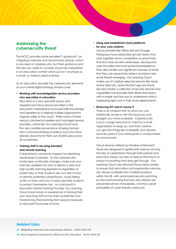### **Addressing the cybersecurity threat**

The NCSC provides some excellent**21** guidance**22** on mitigating malware and ransomware attacks, which is one area of cybersecurity, but their guidance and the risks you need to consider should be interpreted in an education context which just isn't as simple as a small- or medium-sized business.

As an education provider the cybersecurity elements of your overall digital strategy should cover:

**• Working with knowledgeable service providers who specialise in education**

Education is a very specialist space and experienced cloud service providers in the education marketplace have specialist knowledge and experience in helping multiple organisations migrate safely to the cloud. While some of these are just commercial resellers and managed service providers, others like Our Learning Cloud have the very credible provenance of being formed from a forward-thinking academy trust who have already done this for their own 20,000 users across 36 academies.

**• Training staff in securing blended and remote learning**

Cyberattacks commonly happen by exploiting weaknesses in people. As the cybersecurity landscape continually changes, make sure your staff are upskilled not only to deliver a safe and high-quality learning experience regardless of where they or their students are, but also in how to identify potential cyberattacks, avoid falling victim to them and how to educate their students to protect themselves too. As a Microsoft in Education Global Training Provider, Our Learning Cloud have hands on experience in training their own teaching staff across their academies and transforming their learning from special measures to Microsoft Showcase Schools.

#### **• Using well established cloud platforms for your core systems**

Cloud providers like Office 365 and Google Workspace have dedicated security teams that work together and in competition to proactively find and close security weaknesses, assuring end users the safest and most protected experience. They also handle such significant volumes of email that they can proactively detect and block new email threats emerging. Our Learning Cloud makes use of carefully selected services like Azure Active Directory, Azure Monitor Logs and Azure Security Center, a collection of security services and capabilities that provides their dedicated teams with a simple and fast way to understand what is happening right now in their Azure deployments.

#### **• Reducing DIY and in-house IT**

There is an inherent limit to what you can realistically achieve with the resources and budgets you have available. Cybersecurity is such a large area that it's hard for a small organisation to keep up, and that's before you get into things like availability and disaster recovery plans if your datacentre is compromised by ransomware.

Cloud services offered by the likes of Microsoft Azure are designed to significantly reduce not only the risks of cyberattack through both passive and proactive means, but also to reduce the knock-on impact of anything that does get through. Our Learning Cloud uses Microsoft Azure data centres to ensure that education and organisation services are always available from multiple locations within the UK, with automated security patching by Microsoft ensuring that zero-day attacks are prevented almost immediately, and the overall probability of cyber threats is reduced.

#### **Related Links**

**21. [Mitigating malware and ransomware attacks - NCSC.GOV.UK](https://www.ncsc.gov.uk/guidance/mitigating-malware-and-ransomware-attacks)**

**22. [More targeted ransomware attacks on UK education - NCSC.GOV.UK](https://www.ncsc.gov.uk/news/alert-targeted-ransomware-attacks-on-uk-education-sector)**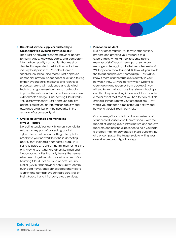**• Use cloud service suppliers audited by a Crest Approved cybersecurity specialist**

The Crest Approved**23** scheme provides access to highly skilled, knowledgeable, and competent information security companies that meet a detailed independent certification and follow industry best practices. Your cloud service suppliers should be using those Crest Approved companies provide independent audit and testing of their cybersecurity measures and technical processes, along with guidance and detailed technical engagement on how to continually improve the safety and security of services as new cyberthreats emerge. Our Learning Cloud works very closely with their Crest Approved security partner Equilibrium, an information security and assurance organisation who specialise in the removal of cybersecurity risks.

#### **• Overall governance and monitoring of your IT estate**

Detecting suspicious activity across your digital estate is a key part of protecting against cyberattack, not only in spotting attempts to break into your network but also in detecting activity that indicates a successful break-in is trying to spread. Centralising this monitoring is the only way to spot what are otherwise small and innocuous activities that only betray themselves when seen together all at once in context. Our Learning Cloud uses a Cloud Access Security Broker (CASB) that provides rich visibility, control over data travel, and sophisticated analytics to identify and combat cyberthreats across all of their Microsoft and third-party cloud services.

#### **• Plan for an incident**

Like any other material risk to your organisation, prepare and practice your response to a cyberattack. What will your response be if a member of staff reports seeing a ransomware message while logging into their remote desktop? Will they even know to report it? How will you isolate the threat and prevent it spreading? How will you know if there is further suspicious activity in your network? How will you identify which systems to clean down and redeploy from backups? How will you know that you have the relevant backups and that they're working? How would you handle a major event that meant you had to stop multiple critical IT services across your organisation? How would you staff such a major rebuild activity and how long would it realistically take?

Our Learning Cloud is built on the experience of seasoned education and IT professionals, with the support of leading cloud infrastructure and security suppliers, and has the experience to help you build a strategy that not only answers these questions but also encompasses the bigger picture writing your overall future proof digital strategy.

# **Related Links**

**23. [CREST \(crest-approved.org\)](https://www.crest-approved.org)**